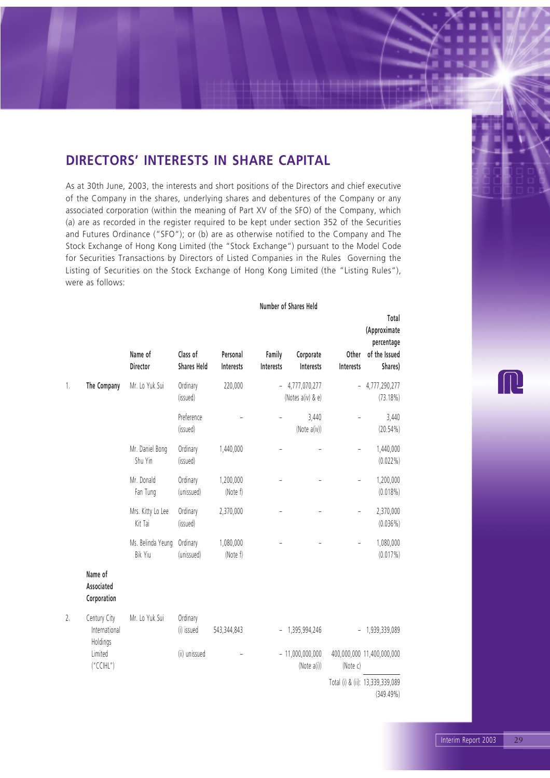### **DIRECTORS' INTERESTS IN SHARE CAPITAL**

As at 30th June, 2003, the interests and short positions of the Directors and chief executive of the Company in the shares, underlying shares and debentures of the Company or any associated corporation (within the meaning of Part XV of the SFO) of the Company, which (a) are as recorded in the register required to be kept under section 352 of the Securities and Futures Ordinance ("SFO"); or (b) are as otherwise notified to the Company and The Stock Exchange of Hong Kong Limited (the "Stock Exchange") pursuant to the Model Code for Securities Transactions by Directors of Listed Companies in the Rules Governing the Listing of Securities on the Stock Exchange of Hong Kong Limited (the "Listing Rules"), were as follows:

#### **Number of Shares Held**

|    |                                           | Name of<br><b>Director</b>   | Class of<br><b>Shares Held</b> | Personal<br>Interests | Family<br>Interests      | Corporate<br>Interests             | Other<br>Interests       | Total<br>(Approximate<br>percentage<br>of the Issued<br>Shares) |
|----|-------------------------------------------|------------------------------|--------------------------------|-----------------------|--------------------------|------------------------------------|--------------------------|-----------------------------------------------------------------|
| 1. | The Company                               | Mr. Lo Yuk Sui               | Ordinary<br>(issued)           | 220,000               | $\overline{\phantom{0}}$ | 4,777,070,277<br>(Notes a(iv) & e) | $\overline{\phantom{0}}$ | 4,777,290,277<br>(73.18%)                                       |
|    |                                           |                              | Preference<br>(issued)         |                       |                          | 3,440<br>(Note a(iv))              |                          | 3,440<br>$(20.54\%)$                                            |
|    |                                           | Mr. Daniel Bong<br>Shu Yin   | Ordinary<br>(issued)           | 1,440,000             |                          |                                    |                          | 1,440,000<br>$(0.022\%)$                                        |
|    |                                           | Mr. Donald<br>Fan Tung       | Ordinary<br>(unissued)         | 1,200,000<br>(Note f) |                          |                                    |                          | 1,200,000<br>$(0.018\%)$                                        |
|    |                                           | Mrs. Kitty Lo Lee<br>Kit Tai | Ordinary<br>(issued)           | 2,370,000             |                          |                                    |                          | 2,370,000<br>$(0.036\%)$                                        |
|    |                                           | Ms. Belinda Yeung<br>Bik Yiu | Ordinary<br>(unissued)         | 1,080,000<br>(Note f) |                          |                                    |                          | 1,080,000<br>$(0.017\%)$                                        |
|    | Name of<br>Associated<br>Corporation      |                              |                                |                       |                          |                                    |                          |                                                                 |
| 2. | Century City<br>International<br>Holdings | Mr. Lo Yuk Sui               | Ordinary<br>(i) issued         | 543,344,843           | $\overline{\phantom{0}}$ | 1,395,994,246                      |                          | $-1,939,339,089$                                                |
|    | Limited<br>("CCHL")                       |                              | (ii) unissued                  |                       |                          | $-11,000,000,000$<br>(Note a(i))   | (Note c)                 | 400,000,000 11,400,000,000                                      |
|    |                                           |                              |                                |                       |                          |                                    |                          | Total (i) & (ii): 13,339,339,089<br>$(349.49\%)$                |

 $\left(\begin{array}{c} \end{array}\right)$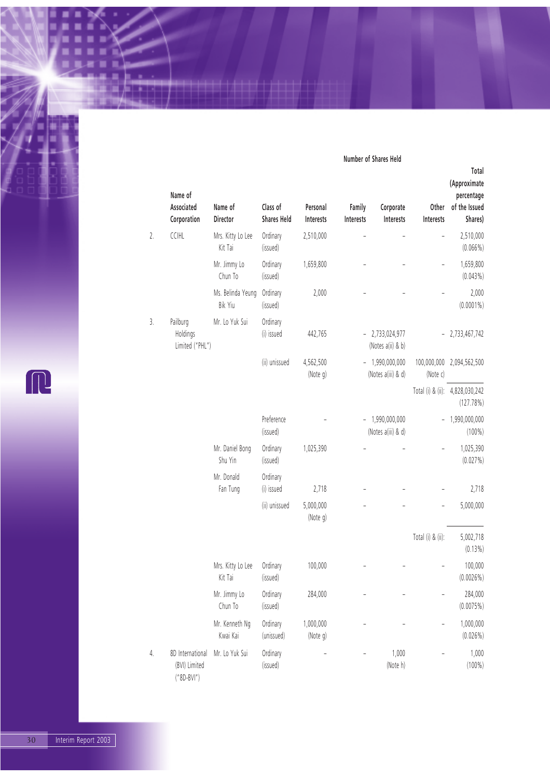#### **Number of Shares Held**

|    | Name of<br>Associated<br>Corporation              | Name of<br>Director          | Class of<br><b>Shares Held</b> | Personal<br>Interests | Family<br>Interests | Corporate<br>Interests                 | Other<br>Interests | Total<br>(Approximate<br>percentage<br>of the Issued<br>Shares) |
|----|---------------------------------------------------|------------------------------|--------------------------------|-----------------------|---------------------|----------------------------------------|--------------------|-----------------------------------------------------------------|
| 2. | CCIHL                                             | Mrs. Kitty Lo Lee<br>Kit Tai | Ordinary<br>(issued)           | 2,510,000             |                     |                                        |                    | 2,510,000<br>$(0.066\%)$                                        |
|    |                                                   | Mr. Jimmy Lo<br>Chun To      | Ordinary<br>(issued)           | 1,659,800             |                     |                                        |                    | 1,659,800<br>$(0.043\%)$                                        |
|    |                                                   | Ms. Belinda Yeung<br>Bik Yiu | Ordinary<br>(issued)           | 2,000                 |                     |                                        |                    | 2,000<br>$(0.0001\%)$                                           |
| 3. | Pailburg<br>Holdings<br>Limited ("PHL")           | Mr. Lo Yuk Sui               | Ordinary<br>(i) issued         | 442,765               |                     | $-2,733,024,977$<br>(Notes a(ii) & b)  |                    | $-2,733,467,742$                                                |
|    |                                                   |                              | (ii) unissued                  | 4,562,500<br>(Note g) |                     | $-1,990,000,000$<br>(Notes a(iii) & d) | (Note c)           | 100,000,000 2,094,562,500                                       |
|    |                                                   |                              |                                |                       |                     |                                        |                    | Total (i) & (ii): 4,828,030,242<br>(127.78%)                    |
|    |                                                   |                              | Preference<br>(issued)         |                       |                     | $-1,990,000,000$<br>(Notes a(iii) & d) |                    | 1,990,000,000<br>$(100\%)$                                      |
|    |                                                   | Mr. Daniel Bong<br>Shu Yin   | Ordinary<br>(issued)           | 1,025,390             |                     |                                        |                    | 1,025,390<br>(0.027%)                                           |
|    |                                                   | Mr. Donald<br>Fan Tung       | Ordinary<br>(i) issued         | 2,718                 |                     |                                        |                    | 2,718                                                           |
|    |                                                   |                              | (ii) unissued                  | 5,000,000<br>(Note g) |                     |                                        |                    | 5,000,000                                                       |
|    |                                                   |                              |                                |                       |                     |                                        | Total (i) & (ii):  | 5,002,718<br>(0.13%)                                            |
|    |                                                   | Mrs. Kitty Lo Lee<br>Kit Tai | Ordinary<br>(issued)           | 100,000               |                     |                                        |                    | 100,000<br>(0.0026%)                                            |
|    |                                                   | Mr. Jimmy Lo<br>Chun To      | Ordinary<br>(issued)           | 284,000               |                     |                                        |                    | 284,000<br>(0.0075%)                                            |
|    |                                                   | Mr. Kenneth Ng<br>Kwai Kai   | Ordinary<br>(unissued)         | 1,000,000<br>(Note g) |                     |                                        |                    | 1,000,000<br>(0.026%)                                           |
| 4. | 8D International<br>(BVI) Limited<br>$("8D-BVI")$ | Mr. Lo Yuk Sui               | Ordinary<br>(issued)           |                       |                     | 1,000<br>(Note h)                      |                    | 1,000<br>$(100\%)$                                              |

R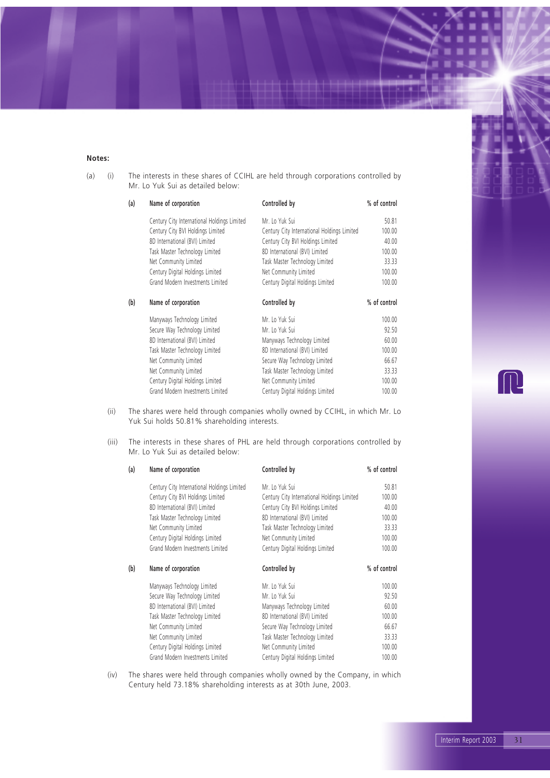#### **Notes:**

(a) (i) The interests in these shares of CCIHL are held through corporations controlled by Mr. Lo Yuk Sui as detailed below:

| Name of corporation                         | Controlled by                               | % of control |
|---------------------------------------------|---------------------------------------------|--------------|
| Century City International Holdings Limited | Mr. Lo Yuk Sui                              | 50.81        |
| Century City BVI Holdings Limited           | Century City International Holdings Limited | 100.00       |
| 8D International (BVI) Limited              | Century City BVI Holdings Limited           | 40.00        |
| Task Master Technology Limited              | 8D International (BVI) Limited              | 100.00       |
| Net Community Limited                       | Task Master Technology Limited              | 33.33        |
| Century Digital Holdings Limited            | Net Community Limited                       | 100.00       |
| Grand Modern Investments Limited            | Century Digital Holdings Limited            | 100.00       |
| Name of corporation                         | Controlled by                               | % of control |
| Manyways Technology Limited                 | Mr. Lo Yuk Sui                              | 100.00       |
| Secure Way Technology Limited               | Mr. Lo Yuk Sui                              | 92.50        |
| 8D International (BVI) Limited              | Manyways Technology Limited                 | 60.00        |
| Task Master Technology Limited              | 8D International (BVI) Limited              | 100.00       |
| Net Community Limited                       | Secure Way Technology Limited               | 66.67        |
| Net Community Limited                       | Task Master Technology Limited              | 33.33        |
| Century Digital Holdings Limited            | Net Community Limited                       | 100.00       |
| Grand Modern Investments Limited            | Century Digital Holdings Limited            | 100.00       |
|                                             |                                             |              |

(ii) The shares were held through companies wholly owned by CCIHL, in which Mr. Lo Yuk Sui holds 50.81% shareholding interests.

(iii) The interests in these shares of PHL are held through corporations controlled by Mr. Lo Yuk Sui as detailed below:

| (a) | Name of corporation                         | Controlled by                               | % of control |
|-----|---------------------------------------------|---------------------------------------------|--------------|
|     | Century City International Holdings Limited | Mr. Lo Yuk Sui                              | 50.81        |
|     | Century City BVI Holdings Limited           | Century City International Holdings Limited | 100.00       |
|     | 8D International (BVI) Limited              | Century City BVI Holdings Limited           | 40.00        |
|     | Task Master Technology Limited              | 8D International (BVI) Limited              | 100.00       |
|     | Net Community Limited                       | Task Master Technology Limited              | 33.33        |
|     | Century Digital Holdings Limited            | Net Community Limited                       | 100.00       |
|     | Grand Modern Investments Limited            | Century Digital Holdings Limited            | 100.00       |
| (b) | Name of corporation                         | Controlled by                               | % of control |
|     | Manyways Technology Limited                 | Mr. Lo Yuk Sui                              | 100.00       |
|     | Secure Way Technology Limited               | Mr. Lo Yuk Sui                              | 92.50        |
|     | 8D International (BVI) Limited              | Manyways Technology Limited                 | 60.00        |
|     | Task Master Technology Limited              | 8D International (BVI) Limited              | 100.00       |
|     | Net Community Limited                       | Secure Way Technology Limited               | 66.67        |
|     | Net Community Limited                       | Task Master Technology Limited              | 33.33        |
|     | Century Digital Holdings Limited            | Net Community Limited                       | 100.00       |
|     | Grand Modern Investments Limited            | Century Digital Holdings Limited            | 100.00       |

(iv) The shares were held through companies wholly owned by the Company, in which Century held 73.18% shareholding interests as at 30th June, 2003.

 $\prod$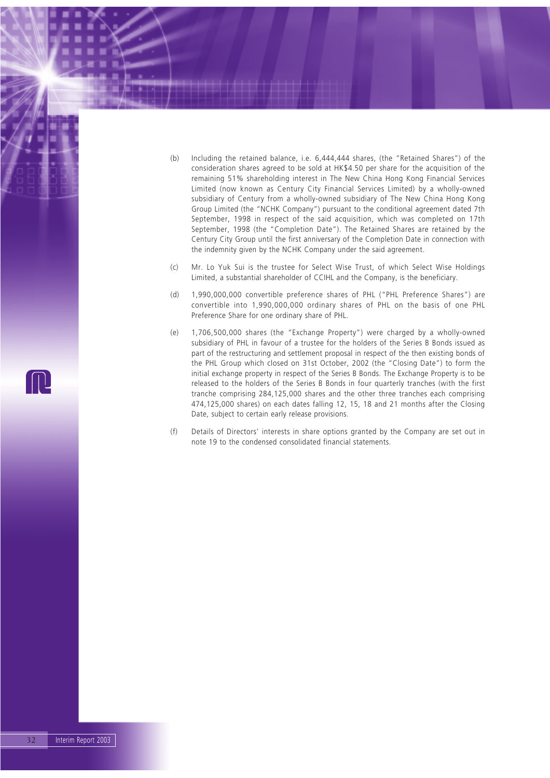- (b) Including the retained balance, i.e. 6,444,444 shares, (the "Retained Shares") of the consideration shares agreed to be sold at HK\$4.50 per share for the acquisition of the remaining 51% shareholding interest in The New China Hong Kong Financial Services Limited (now known as Century City Financial Services Limited) by a wholly-owned subsidiary of Century from a wholly-owned subsidiary of The New China Hong Kong Group Limited (the "NCHK Company") pursuant to the conditional agreement dated 7th September, 1998 in respect of the said acquisition, which was completed on 17th September, 1998 (the "Completion Date"). The Retained Shares are retained by the Century City Group until the first anniversary of the Completion Date in connection with the indemnity given by the NCHK Company under the said agreement.
- (c) Mr. Lo Yuk Sui is the trustee for Select Wise Trust, of which Select Wise Holdings Limited, a substantial shareholder of CCIHL and the Company, is the beneficiary.
- (d) 1,990,000,000 convertible preference shares of PHL ("PHL Preference Shares") are convertible into 1,990,000,000 ordinary shares of PHL on the basis of one PHL Preference Share for one ordinary share of PHL.
- (e) 1,706,500,000 shares (the "Exchange Property") were charged by a wholly-owned subsidiary of PHL in favour of a trustee for the holders of the Series B Bonds issued as part of the restructuring and settlement proposal in respect of the then existing bonds of the PHL Group which closed on 31st October, 2002 (the "Closing Date") to form the initial exchange property in respect of the Series B Bonds. The Exchange Property is to be released to the holders of the Series B Bonds in four quarterly tranches (with the first tranche comprising 284,125,000 shares and the other three tranches each comprising 474,125,000 shares) on each dates falling 12, 15, 18 and 21 months after the Closing Date, subject to certain early release provisions.
- (f) Details of Directors' interests in share options granted by the Company are set out in note 19 to the condensed consolidated financial statements.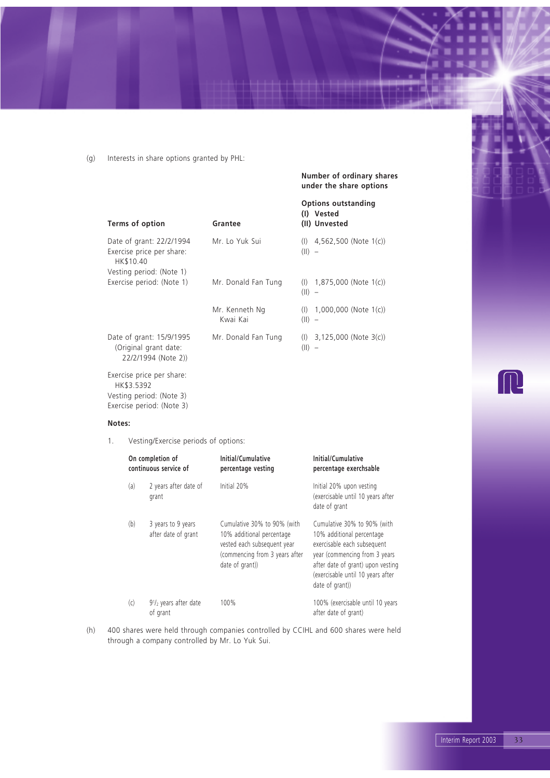(g) Interests in share options granted by PHL:

**Number of ordinary shares under the share options**

| Terms of option                                                          | Grantee                    | <b>Options outstanding</b><br>(I) Vested<br>(II) Unvested       |
|--------------------------------------------------------------------------|----------------------------|-----------------------------------------------------------------|
| Date of grant: 22/2/1994<br>Exercise price per share:<br>HK\$10.40       | Mr. Lo Yuk Sui             | $(1)$ 4,562,500 (Note 1(c))<br>$(11) -$                         |
| Vesting period: (Note 1)                                                 |                            |                                                                 |
| Exercise period: (Note 1)                                                | Mr. Donald Fan Tung        | $(l)$ 1,875,000 (Note 1(c))<br>(  )<br>$\overline{\phantom{a}}$ |
|                                                                          | Mr. Kenneth Ng<br>Kwai Kai | $(l)$ 1,000,000 (Note 1(c))<br>$(  )$ –                         |
| Date of grant: 15/9/1995<br>(Original grant date:<br>22/2/1994 (Note 2)) | Mr. Donald Fan Tung        | $(l)$ 3,125,000 (Note 3(c))<br>$(11) -$                         |
| Exercise price per share:<br>HK\$3.5392<br>Vesting period: (Note 3)      |                            |                                                                 |

#### **Notes:**

Exercise period: (Note 3)

1. Vesting/Exercise periods of options:

| On completion of<br>continuous service of |     |                                               | Initial/Cumulative<br>percentage vesting                                                                                                     | Initial/Cumulative<br>percentage exerchsable                                                                                                                                                                          |  |
|-------------------------------------------|-----|-----------------------------------------------|----------------------------------------------------------------------------------------------------------------------------------------------|-----------------------------------------------------------------------------------------------------------------------------------------------------------------------------------------------------------------------|--|
|                                           | (a) | 2 years after date of<br>grant                | Initial 20%                                                                                                                                  | Initial 20% upon vesting<br>(exercisable until 10 years after<br>date of grant                                                                                                                                        |  |
|                                           | (b) | 3 years to 9 years<br>after date of grant     | Cumulative 30% to 90% (with<br>10% additional percentage<br>vested each subsequent year<br>(commencing from 3 years after<br>date of grant)) | Cumulative 30% to 90% (with<br>10% additional percentage<br>exercisable each subsequent<br>year (commencing from 3 years<br>after date of grant) upon vesting<br>(exercisable until 10 years after<br>date of grant)) |  |
|                                           | (c) | 91/ <sub>2</sub> years after date<br>of grant | 100%                                                                                                                                         | 100% (exercisable until 10 years<br>after date of grant)                                                                                                                                                              |  |

(h) 400 shares were held through companies controlled by CCIHL and 600 shares were held through a company controlled by Mr. Lo Yuk Sui.

# $\begin{matrix} \end{matrix}$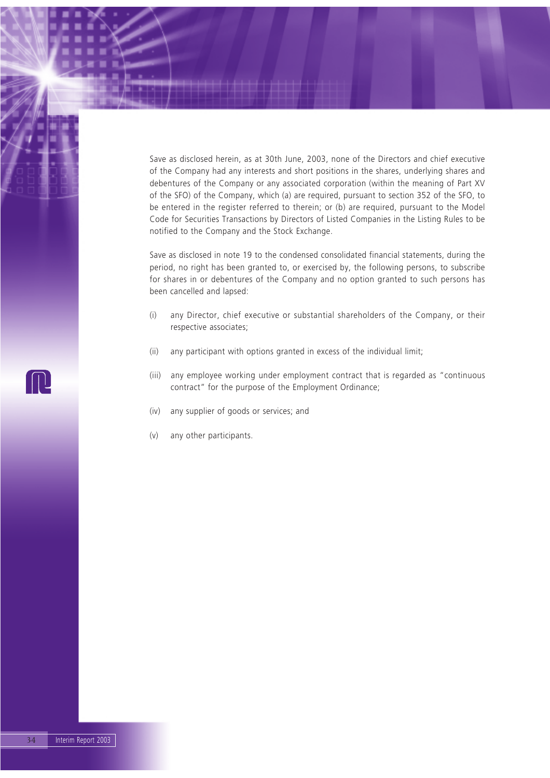Save as disclosed herein, as at 30th June, 2003, none of the Directors and chief executive of the Company had any interests and short positions in the shares, underlying shares and debentures of the Company or any associated corporation (within the meaning of Part XV of the SFO) of the Company, which (a) are required, pursuant to section 352 of the SFO, to be entered in the register referred to therein; or (b) are required, pursuant to the Model Code for Securities Transactions by Directors of Listed Companies in the Listing Rules to be notified to the Company and the Stock Exchange.

Save as disclosed in note 19 to the condensed consolidated financial statements, during the period, no right has been granted to, or exercised by, the following persons, to subscribe for shares in or debentures of the Company and no option granted to such persons has been cancelled and lapsed:

- (i) any Director, chief executive or substantial shareholders of the Company, or their respective associates;
- (ii) any participant with options granted in excess of the individual limit;
- (iii) any employee working under employment contract that is regarded as "continuous contract" for the purpose of the Employment Ordinance;
- (iv) any supplier of goods or services; and
- (v) any other participants.

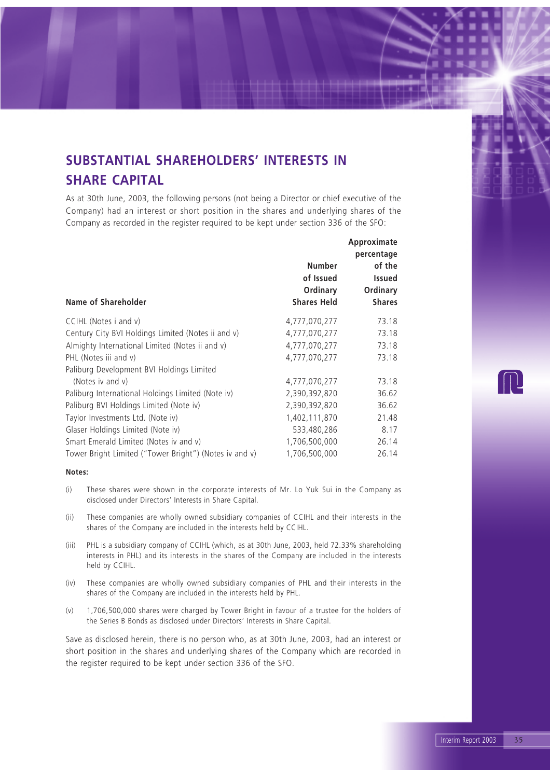## **SUBSTANTIAL SHAREHOLDERS' INTERESTS IN SHARE CAPITAL**

As at 30th June, 2003, the following persons (not being a Director or chief executive of the Company) had an interest or short position in the shares and underlying shares of the Company as recorded in the register required to be kept under section 336 of the SFO:

| Number<br>of Issued<br>Ordinary<br><b>Shares Held</b> | Approximate<br>percentage<br>of the<br><b>Issued</b><br>Ordinary<br><b>Shares</b> |
|-------------------------------------------------------|-----------------------------------------------------------------------------------|
| 4,777,070,277                                         | 73.18                                                                             |
| 4,777,070,277                                         | 73.18                                                                             |
| 4,777,070,277                                         | 73.18                                                                             |
| 4,777,070,277                                         | 73.18                                                                             |
|                                                       |                                                                                   |
| 4,777,070,277                                         | 73.18                                                                             |
| 2,390,392,820                                         | 36.62                                                                             |
| 2,390,392,820                                         | 36.62                                                                             |
| 1,402,111,870                                         | 21.48                                                                             |
| 533,480,286                                           | 8.17                                                                              |
| 1,706,500,000                                         | 26.14                                                                             |
| 1,706,500,000                                         | 26.14                                                                             |
|                                                       |                                                                                   |

#### **Notes:**

- (i) These shares were shown in the corporate interests of Mr. Lo Yuk Sui in the Company as disclosed under Directors' Interests in Share Capital.
- (ii) These companies are wholly owned subsidiary companies of CCIHL and their interests in the shares of the Company are included in the interests held by CCIHL.
- (iii) PHL is a subsidiary company of CCIHL (which, as at 30th June, 2003, held 72.33% shareholding interests in PHL) and its interests in the shares of the Company are included in the interests held by CCIHL.
- (iv) These companies are wholly owned subsidiary companies of PHL and their interests in the shares of the Company are included in the interests held by PHL.
- (v) 1,706,500,000 shares were charged by Tower Bright in favour of a trustee for the holders of the Series B Bonds as disclosed under Directors' Interests in Share Capital.

Save as disclosed herein, there is no person who, as at 30th June, 2003, had an interest or short position in the shares and underlying shares of the Company which are recorded in the register required to be kept under section 336 of the SFO.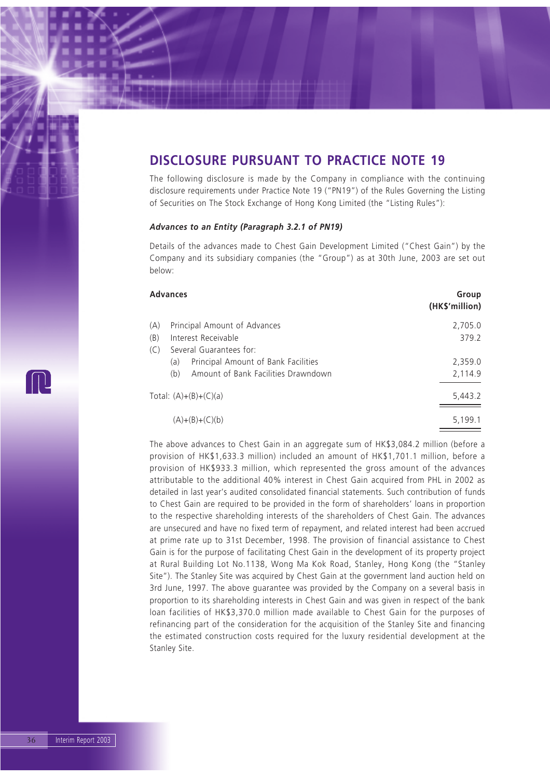### **DISCLOSURE PURSUANT TO PRACTICE NOTE 19**

The following disclosure is made by the Company in compliance with the continuing disclosure requirements under Practice Note 19 ("PN19") of the Rules Governing the Listing of Securities on The Stock Exchange of Hong Kong Limited (the "Listing Rules"):

#### *Advances to an Entity (Paragraph 3.2.1 of PN19)*

Details of the advances made to Chest Gain Development Limited ("Chest Gain") by the Company and its subsidiary companies (the "Group") as at 30th June, 2003 are set out below:

|     | <b>Advances</b><br>(HK\$'million)          |         |  |
|-----|--------------------------------------------|---------|--|
| (A) | Principal Amount of Advances               | 2,705.0 |  |
| (B) | Interest Receivable                        | 379.2   |  |
| (C) | Several Guarantees for:                    |         |  |
|     | Principal Amount of Bank Facilities<br>(a) | 2,359.0 |  |
|     | Amount of Bank Facilities Drawndown<br>(b) | 2,114.9 |  |
|     | Total: $(A)+(B)+(C)(a)$                    | 5,443.2 |  |
|     | $(A)+(B)+(C)(b)$                           | 5,199.1 |  |

The above advances to Chest Gain in an aggregate sum of HK\$3,084.2 million (before a provision of HK\$1,633.3 million) included an amount of HK\$1,701.1 million, before a provision of HK\$933.3 million, which represented the gross amount of the advances attributable to the additional 40% interest in Chest Gain acquired from PHL in 2002 as detailed in last year's audited consolidated financial statements. Such contribution of funds to Chest Gain are required to be provided in the form of shareholders' loans in proportion to the respective shareholding interests of the shareholders of Chest Gain. The advances are unsecured and have no fixed term of repayment, and related interest had been accrued at prime rate up to 31st December, 1998. The provision of financial assistance to Chest Gain is for the purpose of facilitating Chest Gain in the development of its property project at Rural Building Lot No.1138, Wong Ma Kok Road, Stanley, Hong Kong (the "Stanley Site"). The Stanley Site was acquired by Chest Gain at the government land auction held on 3rd June, 1997. The above guarantee was provided by the Company on a several basis in proportion to its shareholding interests in Chest Gain and was given in respect of the bank loan facilities of HK\$3,370.0 million made available to Chest Gain for the purposes of refinancing part of the consideration for the acquisition of the Stanley Site and financing the estimated construction costs required for the luxury residential development at the Stanley Site.

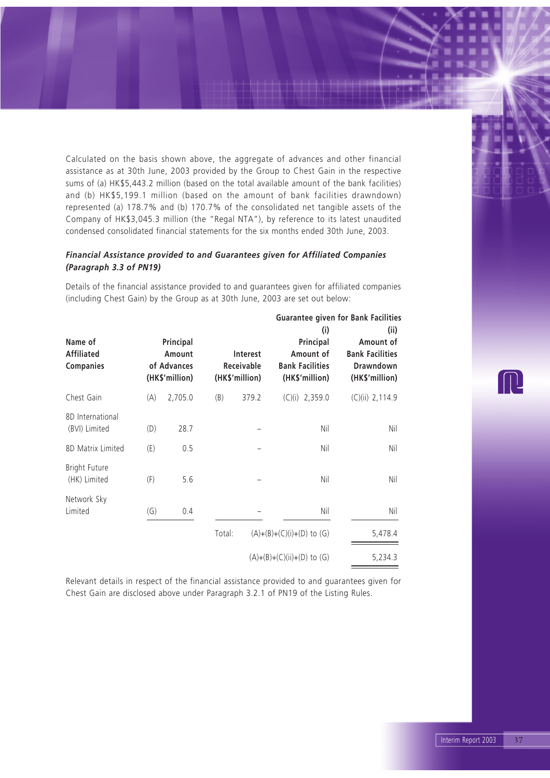Calculated on the basis shown above, the aggregate of advances and other financial assistance as at 30th June, 2003 provided by the Group to Chest Gain in the respective sums of (a) HK\$5,443.2 million (based on the total available amount of the bank facilities) and (b) HK\$5,199.1 million (based on the amount of bank facilities drawndown) represented (a) 178.7% and (b) 170.7% of the consolidated net tangible assets of the Company of HK\$3,045.3 million (the "Regal NTA"), by reference to its latest unaudited condensed consolidated financial statements for the six months ended 30th June, 2003.

### *Financial Assistance provided to and Guarantees given for Affiliated Companies (Paragraph 3.3 of PN19)*

**Guarantee given for Bank Facilities (i) (ii) Name of Principal Principal Amount of** Affiliated **Amount** Interest Amount of Bank Facilities **Companies of Advances Receivable Bank Facilities Drawndown (HK\$'million) (HK\$'million) (HK\$'million) (HK\$'million)** Chest Gain (A) 2,705.0 (B) 379.2 (C)(i) 2,359.0 (C)(ii) 2,114.9 8D International (BVI) Limited (D) 28.7 – Nil Nil Nil 8D Matrix Limited (E) 0.5 – Nil Nil Bright Future (HK) Limited (F) 5.6 – Nil Nil Network Sky Limited (G) 0.4 – Nil Nil Total:  $(A)+(B)+(C)(i)+(D)$  to  $(G)$  5,478.4  $(A)+(B)+(C)(ii)+(D)$  to  $(G)$  5,234.3

Details of the financial assistance provided to and guarantees given for affiliated companies (including Chest Gain) by the Group as at 30th June, 2003 are set out below:

Relevant details in respect of the financial assistance provided to and guarantees given for Chest Gain are disclosed above under Paragraph 3.2.1 of PN19 of the Listing Rules.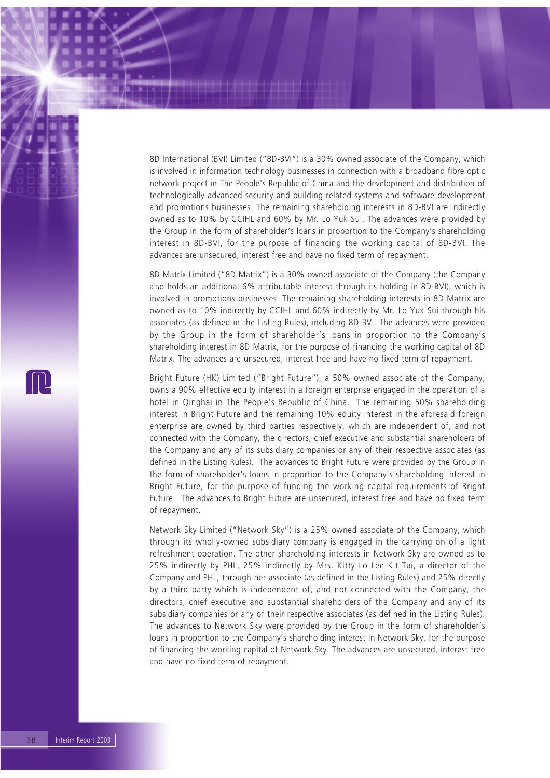8D International (BVI) Limited ("8D-BVI") is a 30% owned associate of the Company, which is involved in information technology businesses in connection with a broadband fibre optic network project in The People's Republic of China and the development and distribution of technologically advanced security and building related systems and software development and promotions businesses. The remaining shareholding interests in 8D-BVI are indirectly owned as to 10% by CCIHL and 60% by Mr. Lo Yuk Sui. The advances were provided by the Group in the form of shareholder's loans in proportion to the Company's shareholding interest in 8D-BVI, for the purpose of financing the working capital of 8D-BVI. The advances are unsecured, interest free and have no fixed term of repayment.

8D Matrix Limited ("8D Matrix") is a 30% owned associate of the Company (the Company also holds an additional 6% attributable interest through its holding in 8D-BVI), which is involved in promotions businesses. The remaining shareholding interests in 8D Matrix are owned as to 10% indirectly by CCIHL and 60% indirectly by Mr. Lo Yuk Sui through his associates (as defined in the Listing Rules), including 8D-BVI. The advances were provided by the Group in the form of shareholder's loans in proportion to the Company's shareholding interest in 8D Matrix, for the purpose of financing the working capital of 8D Matrix. The advances are unsecured, interest free and have no fixed term of repayment.

Bright Future (HK) Limited ("Bright Future"), a 50% owned associate of the Company, owns a 90% effective equity interest in a foreign enterprise engaged in the operation of a hotel in Qinghai in The People's Republic of China. The remaining 50% shareholding interest in Bright Future and the remaining 10% equity interest in the aforesaid foreign enterprise are owned by third parties respectively, which are independent of, and not connected with the Company, the directors, chief executive and substantial shareholders of the Company and any of its subsidiary companies or any of their respective associates (as defined in the Listing Rules). The advances to Bright Future were provided by the Group in the form of shareholder's loans in proportion to the Company's shareholding interest in Bright Future, for the purpose of funding the working capital requirements of Bright Future. The advances to Bright Future are unsecured, interest free and have no fixed term of repayment.

Network Sky Limited ("Network Sky") is a 25% owned associate of the Company, which through its wholly-owned subsidiary company is engaged in the carrying on of a light refreshment operation. The other shareholding interests in Network Sky are owned as to 25% indirectly by PHL, 25% indirectly by Mrs. Kitty Lo Lee Kit Tai, a director of the Company and PHL, through her associate (as defined in the Listing Rules) and 25% directly by a third party which is independent of, and not connected with the Company, the directors, chief executive and substantial shareholders of the Company and any of its subsidiary companies or any of their respective associates (as defined in the Listing Rules). The advances to Network Sky were provided by the Group in the form of shareholder's loans in proportion to the Company's shareholding interest in Network Sky, for the purpose of financing the working capital of Network Sky. The advances are unsecured, interest free and have no fixed term of repayment.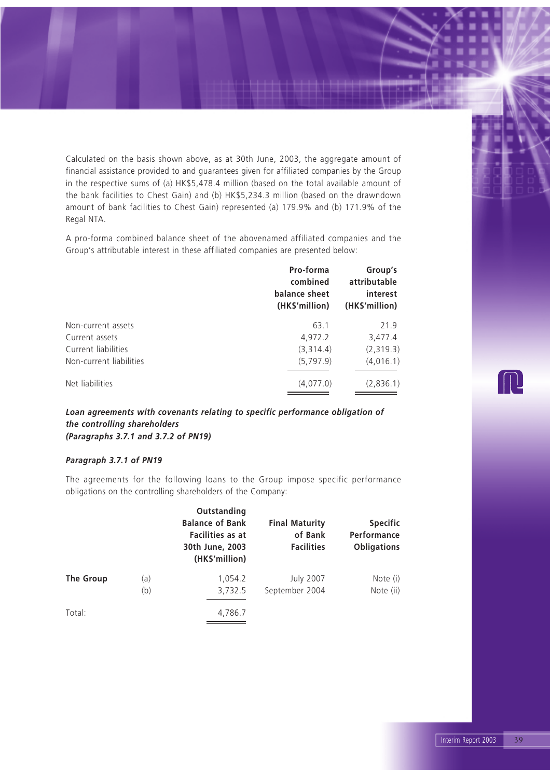Calculated on the basis shown above, as at 30th June, 2003, the aggregate amount of financial assistance provided to and guarantees given for affiliated companies by the Group in the respective sums of (a) HK\$5,478.4 million (based on the total available amount of the bank facilities to Chest Gain) and (b) HK\$5,234.3 million (based on the drawndown amount of bank facilities to Chest Gain) represented (a) 179.9% and (b) 171.9% of the Regal NTA.

A pro-forma combined balance sheet of the abovenamed affiliated companies and the Group's attributable interest in these affiliated companies are presented below:

|                         | Pro-forma<br>combined<br>balance sheet<br>(HK\$'million) | Group's<br>attributable<br>interest<br>(HK\$'million) |
|-------------------------|----------------------------------------------------------|-------------------------------------------------------|
| Non-current assets      | 63.1                                                     | 21.9                                                  |
| Current assets          | 4,972.2                                                  | 3,477.4                                               |
| Current liabilities     | (3,314.4)                                                | (2,319.3)                                             |
| Non-current liabilities | (5,797.9)                                                | (4,016.1)                                             |
| Net liabilities         | (4,077.0)                                                | (2,836.1)                                             |

*Loan agreements with covenants relating to specific performance obligation of the controlling shareholders (Paragraphs 3.7.1 and 3.7.2 of PN19)*

#### *Paragraph 3.7.1 of PN19*

The agreements for the following loans to the Group impose specific performance obligations on the controlling shareholders of the Company:

|           |            | Outstanding<br><b>Balance of Bank</b><br>Facilities as at<br>30th June, 2003<br>(HK\$'million) | <b>Final Maturity</b><br>of Bank<br><b>Facilities</b> | <b>Specific</b><br>Performance<br><b>Obligations</b> |
|-----------|------------|------------------------------------------------------------------------------------------------|-------------------------------------------------------|------------------------------------------------------|
| The Group | (a)<br>(b) | 1,054.2<br>3,732.5                                                                             | <b>July 2007</b><br>September 2004                    | Note (i)<br>Note (ii)                                |
| Total:    |            | 4,786.7                                                                                        |                                                       |                                                      |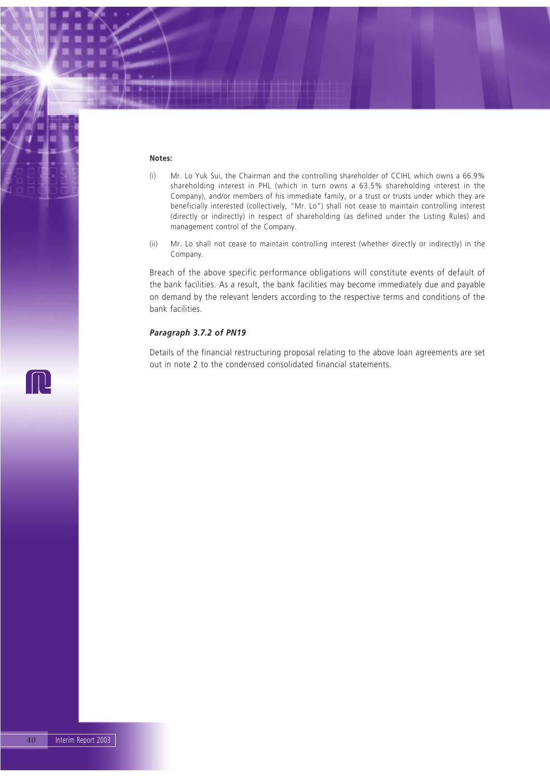#### **Notes:**

- (i) Mr. Lo Yuk Sui, the Chairman and the controlling shareholder of CCIHL which owns a 66.9% shareholding interest in PHL (which in turn owns a 63.5% shareholding interest in the Company), and/or members of his immediate family, or a trust or trusts under which they are beneficially interested (collectively, "Mr. Lo") shall not cease to maintain controlling interest (directly or indirectly) in respect of shareholding (as defined under the Listing Rules) and management control of the Company.
- (ii) Mr. Lo shall not cease to maintain controlling interest (whether directly or indirectly) in the Company.

Breach of the above specific performance obligations will constitute events of default of the bank facilities. As a result, the bank facilities may become immediately due and payable on demand by the relevant lenders according to the respective terms and conditions of the bank facilities.

#### *Paragraph 3.7.2 of PN19*

Details of the financial restructuring proposal relating to the above loan agreements are set out in note 2 to the condensed consolidated financial statements.